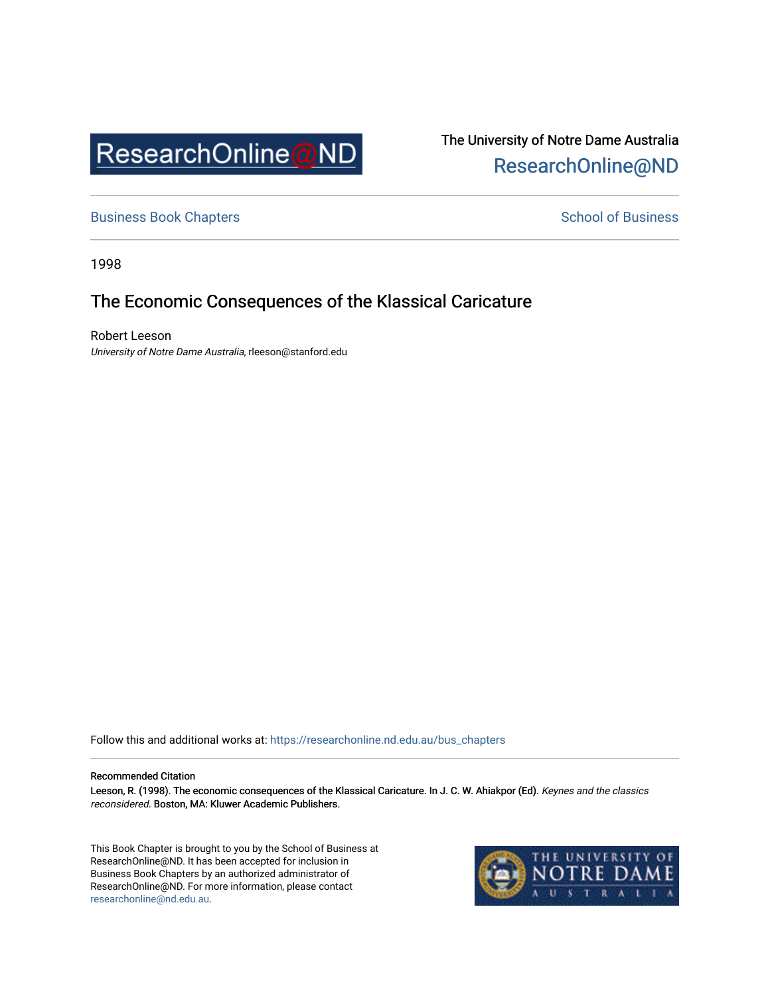

The University of Notre Dame Australia [ResearchOnline@ND](https://researchonline.nd.edu.au/) 

[Business Book Chapters](https://researchonline.nd.edu.au/bus_chapters) **School of Business** Business **School of Business** 

1998

# The Economic Consequences of the Klassical Caricature

Robert Leeson University of Notre Dame Australia, rleeson@stanford.edu

Follow this and additional works at: [https://researchonline.nd.edu.au/bus\\_chapters](https://researchonline.nd.edu.au/bus_chapters?utm_source=researchonline.nd.edu.au%2Fbus_chapters%2F16&utm_medium=PDF&utm_campaign=PDFCoverPages)

#### Recommended Citation

Leeson, R. (1998). The economic consequences of the Klassical Caricature. In J. C. W. Ahiakpor (Ed). Keynes and the classics reconsidered. Boston, MA: Kluwer Academic Publishers.

This Book Chapter is brought to you by the School of Business at ResearchOnline@ND. It has been accepted for inclusion in Business Book Chapters by an authorized administrator of ResearchOnline@ND. For more information, please contact [researchonline@nd.edu.au.](mailto:researchonline@nd.edu.au)

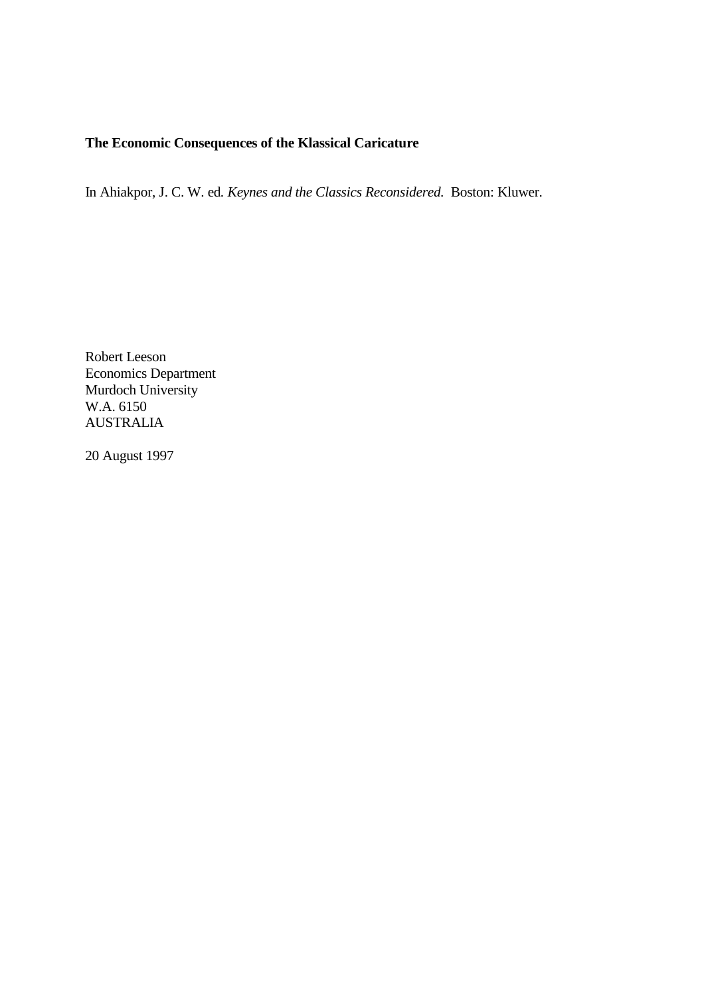## **The Economic Consequences of the Klassical Caricature**

In Ahiakpor, J. C. W. ed*. Keynes and the Classics Reconsidered.* Boston: Kluwer.

Robert Leeson Economics Department Murdoch University W.A. 6150 AUSTRALIA

20 August 1997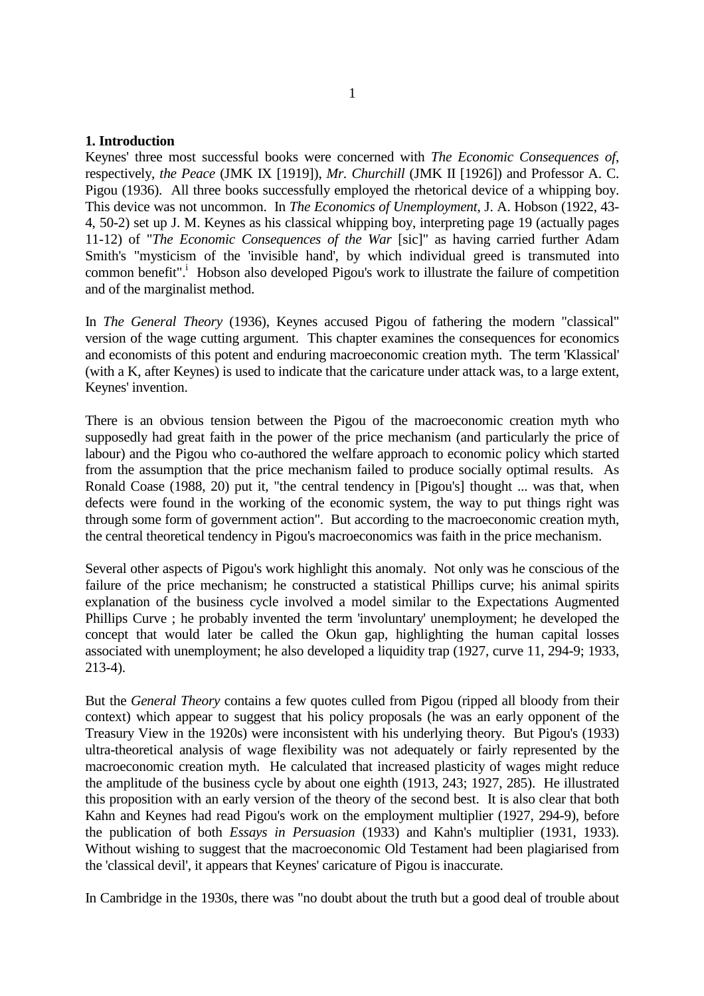#### **1. Introduction**

Keynes' three most successful books were concerned with *The Economic Consequences of*, respectively, *the Peace* (JMK IX [1919]), *Mr. Churchill* (JMK II [1926]) and Professor A. C. Pigou (1936). All three books successfully employed the rhetorical device of a whipping boy. This device was not uncommon. In *The Economics of Unemployment*, J. A. Hobson (1922, 43- 4, 50-2) set up J. M. Keynes as his classical whipping boy, interpreting page 19 (actually pages 11-12) of "*The Economic Consequences of the War* [sic]" as having carried further Adam Smith's "mysticism of the 'invisible hand', by which individual greed is transmuted into common benefit". Hobson also developed Pigou's work to illustrate the failure of competition and of the marginalist method.

In *The General Theory* (1936), Keynes accused Pigou of fathering the modern "classical" version of the wage cutting argument. This chapter examines the consequences for economics and economists of this potent and enduring macroeconomic creation myth. The term 'Klassical' (with a K, after Keynes) is used to indicate that the caricature under attack was, to a large extent, Keynes' invention.

There is an obvious tension between the Pigou of the macroeconomic creation myth who supposedly had great faith in the power of the price mechanism (and particularly the price of labour) and the Pigou who co-authored the welfare approach to economic policy which started from the assumption that the price mechanism failed to produce socially optimal results. As Ronald Coase (1988, 20) put it, "the central tendency in [Pigou's] thought ... was that, when defects were found in the working of the economic system, the way to put things right was through some form of government action". But according to the macroeconomic creation myth, the central theoretical tendency in Pigou's macroeconomics was faith in the price mechanism.

Several other aspects of Pigou's work highlight this anomaly. Not only was he conscious of the failure of the price mechanism; he constructed a statistical Phillips curve; his animal spirits explanation of the business cycle involved a model similar to the Expectations Augmented Phillips Curve ; he probably invented the term 'involuntary' unemployment; he developed the concept that would later be called the Okun gap, highlighting the human capital losses associated with unemployment; he also developed a liquidity trap (1927, curve 11, 294-9; 1933, 213-4).

But the *General Theory* contains a few quotes culled from Pigou (ripped all bloody from their context) which appear to suggest that his policy proposals (he was an early opponent of the Treasury View in the 1920s) were inconsistent with his underlying theory. But Pigou's (1933) ultra-theoretical analysis of wage flexibility was not adequately or fairly represented by the macroeconomic creation myth. He calculated that increased plasticity of wages might reduce the amplitude of the business cycle by about one eighth (1913, 243; 1927, 285). He illustrated this proposition with an early version of the theory of the second best. It is also clear that both Kahn and Keynes had read Pigou's work on the employment multiplier (1927, 294-9), before the publication of both *Essays in Persuasion* (1933) and Kahn's multiplier (1931, 1933). Without wishing to suggest that the macroeconomic Old Testament had been plagiarised from the 'classical devil', it appears that Keynes' caricature of Pigou is inaccurate.

In Cambridge in the 1930s, there was "no doubt about the truth but a good deal of trouble about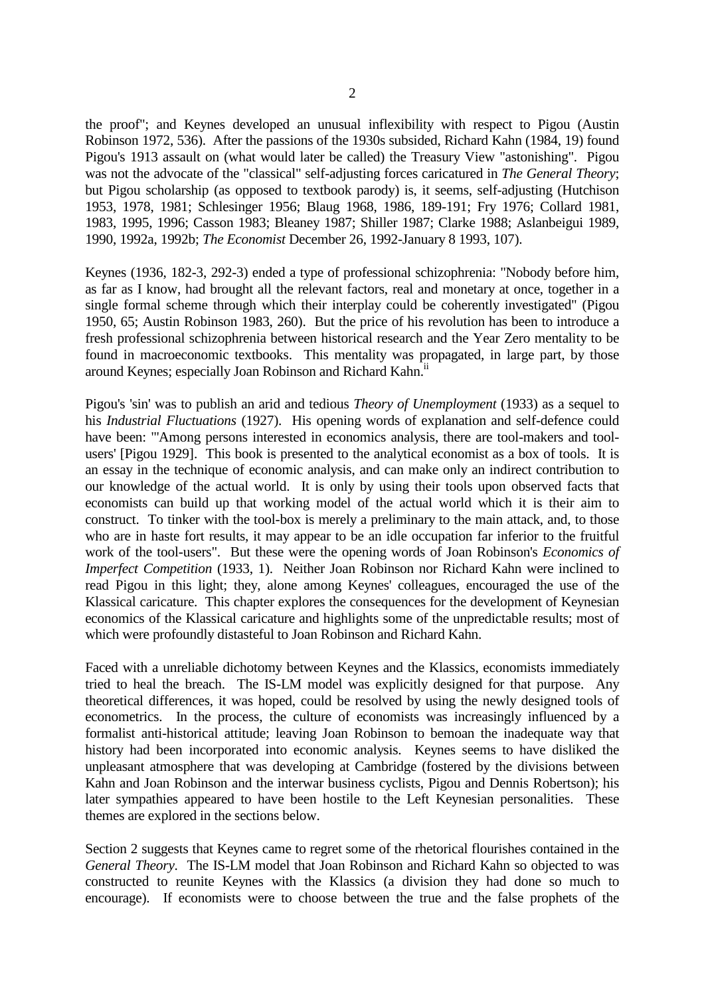the proof"; and Keynes developed an unusual inflexibility with respect to Pigou (Austin Robinson 1972, 536). After the passions of the 1930s subsided, Richard Kahn (1984, 19) found Pigou's 1913 assault on (what would later be called) the Treasury View "astonishing". Pigou was not the advocate of the "classical" self-adjusting forces caricatured in *The General Theory*; but Pigou scholarship (as opposed to textbook parody) is, it seems, self-adjusting (Hutchison 1953, 1978, 1981; Schlesinger 1956; Blaug 1968, 1986, 189-191; Fry 1976; Collard 1981, 1983, 1995, 1996; Casson 1983; Bleaney 1987; Shiller 1987; Clarke 1988; Aslanbeigui 1989, 1990, 1992a, 1992b; *The Economist* December 26, 1992-January 8 1993, 107).

Keynes (1936, 182-3, 292-3) ended a type of professional schizophrenia: "Nobody before him, as far as I know, had brought all the relevant factors, real and monetary at once, together in a single formal scheme through which their interplay could be coherently investigated" (Pigou 1950, 65; Austin Robinson 1983, 260). But the price of his revolution has been to introduce a fresh professional schizophrenia between historical research and the Year Zero mentality to be found in macroeconomic textbooks. This mentality was propagated, in large part, by those around Keynes; especially Joan Robinson and Richard Kahn.<sup>ii</sup>

Pigou's 'sin' was to publish an arid and tedious *Theory of Unemployment* (1933) as a sequel to his *Industrial Fluctuations* (1927). His opening words of explanation and self-defence could have been: "'Among persons interested in economics analysis, there are tool-makers and toolusers' [Pigou 1929]. This book is presented to the analytical economist as a box of tools. It is an essay in the technique of economic analysis, and can make only an indirect contribution to our knowledge of the actual world. It is only by using their tools upon observed facts that economists can build up that working model of the actual world which it is their aim to construct. To tinker with the tool-box is merely a preliminary to the main attack, and, to those who are in haste fort results, it may appear to be an idle occupation far inferior to the fruitful work of the tool-users". But these were the opening words of Joan Robinson's *Economics of Imperfect Competition* (1933, 1). Neither Joan Robinson nor Richard Kahn were inclined to read Pigou in this light; they, alone among Keynes' colleagues, encouraged the use of the Klassical caricature. This chapter explores the consequences for the development of Keynesian economics of the Klassical caricature and highlights some of the unpredictable results; most of which were profoundly distasteful to Joan Robinson and Richard Kahn.

Faced with a unreliable dichotomy between Keynes and the Klassics, economists immediately tried to heal the breach. The IS-LM model was explicitly designed for that purpose. Any theoretical differences, it was hoped, could be resolved by using the newly designed tools of econometrics. In the process, the culture of economists was increasingly influenced by a formalist anti-historical attitude; leaving Joan Robinson to bemoan the inadequate way that history had been incorporated into economic analysis. Keynes seems to have disliked the unpleasant atmosphere that was developing at Cambridge (fostered by the divisions between Kahn and Joan Robinson and the interwar business cyclists, Pigou and Dennis Robertson); his later sympathies appeared to have been hostile to the Left Keynesian personalities. These themes are explored in the sections below.

Section 2 suggests that Keynes came to regret some of the rhetorical flourishes contained in the *General Theory*. The IS-LM model that Joan Robinson and Richard Kahn so objected to was constructed to reunite Keynes with the Klassics (a division they had done so much to encourage). If economists were to choose between the true and the false prophets of the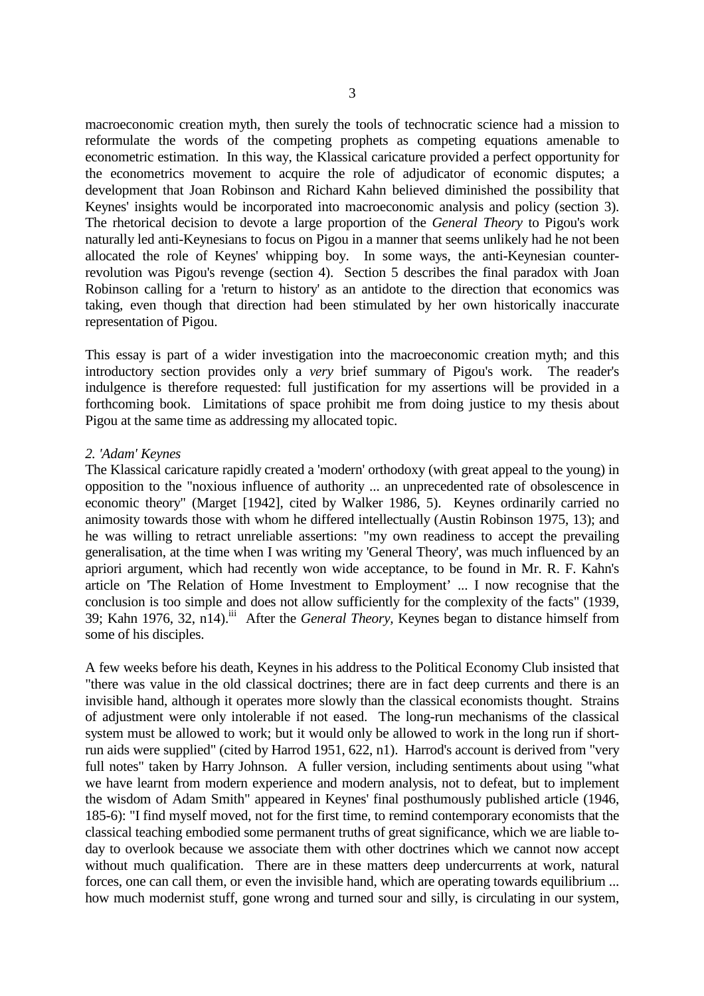macroeconomic creation myth, then surely the tools of technocratic science had a mission to reformulate the words of the competing prophets as competing equations amenable to econometric estimation. In this way, the Klassical caricature provided a perfect opportunity for the econometrics movement to acquire the role of adjudicator of economic disputes; a development that Joan Robinson and Richard Kahn believed diminished the possibility that Keynes' insights would be incorporated into macroeconomic analysis and policy (section 3). The rhetorical decision to devote a large proportion of the *General Theory* to Pigou's work naturally led anti-Keynesians to focus on Pigou in a manner that seems unlikely had he not been allocated the role of Keynes' whipping boy. In some ways, the anti-Keynesian counterrevolution was Pigou's revenge (section 4). Section 5 describes the final paradox with Joan Robinson calling for a 'return to history' as an antidote to the direction that economics was taking, even though that direction had been stimulated by her own historically inaccurate representation of Pigou.

This essay is part of a wider investigation into the macroeconomic creation myth; and this introductory section provides only a *very* brief summary of Pigou's work. The reader's indulgence is therefore requested: full justification for my assertions will be provided in a forthcoming book. Limitations of space prohibit me from doing justice to my thesis about Pigou at the same time as addressing my allocated topic.

### *2. 'Adam' Keynes*

The Klassical caricature rapidly created a 'modern' orthodoxy (with great appeal to the young) in opposition to the "noxious influence of authority ... an unprecedented rate of obsolescence in economic theory" (Marget [1942], cited by Walker 1986, 5). Keynes ordinarily carried no animosity towards those with whom he differed intellectually (Austin Robinson 1975, 13); and he was willing to retract unreliable assertions: "my own readiness to accept the prevailing generalisation, at the time when I was writing my 'General Theory', was much influenced by an apriori argument, which had recently won wide acceptance, to be found in Mr. R. F. Kahn's article on 'The Relation of Home Investment to Employment' ... I now recognise that the conclusion is too simple and does not allow sufficiently for the complexity of the facts" (1939, 39; Kahn 1976, 32, n14).iii After the *General Theory,* Keynes began to distance himself from some of his disciples.

A few weeks before his death, Keynes in his address to the Political Economy Club insisted that "there was value in the old classical doctrines; there are in fact deep currents and there is an invisible hand, although it operates more slowly than the classical economists thought. Strains of adjustment were only intolerable if not eased. The long-run mechanisms of the classical system must be allowed to work; but it would only be allowed to work in the long run if shortrun aids were supplied" (cited by Harrod 1951, 622, n1). Harrod's account is derived from "very full notes" taken by Harry Johnson. A fuller version, including sentiments about using "what we have learnt from modern experience and modern analysis, not to defeat, but to implement the wisdom of Adam Smith" appeared in Keynes' final posthumously published article (1946, 185-6): "I find myself moved, not for the first time, to remind contemporary economists that the classical teaching embodied some permanent truths of great significance, which we are liable today to overlook because we associate them with other doctrines which we cannot now accept without much qualification. There are in these matters deep undercurrents at work, natural forces, one can call them, or even the invisible hand, which are operating towards equilibrium ... how much modernist stuff, gone wrong and turned sour and silly, is circulating in our system,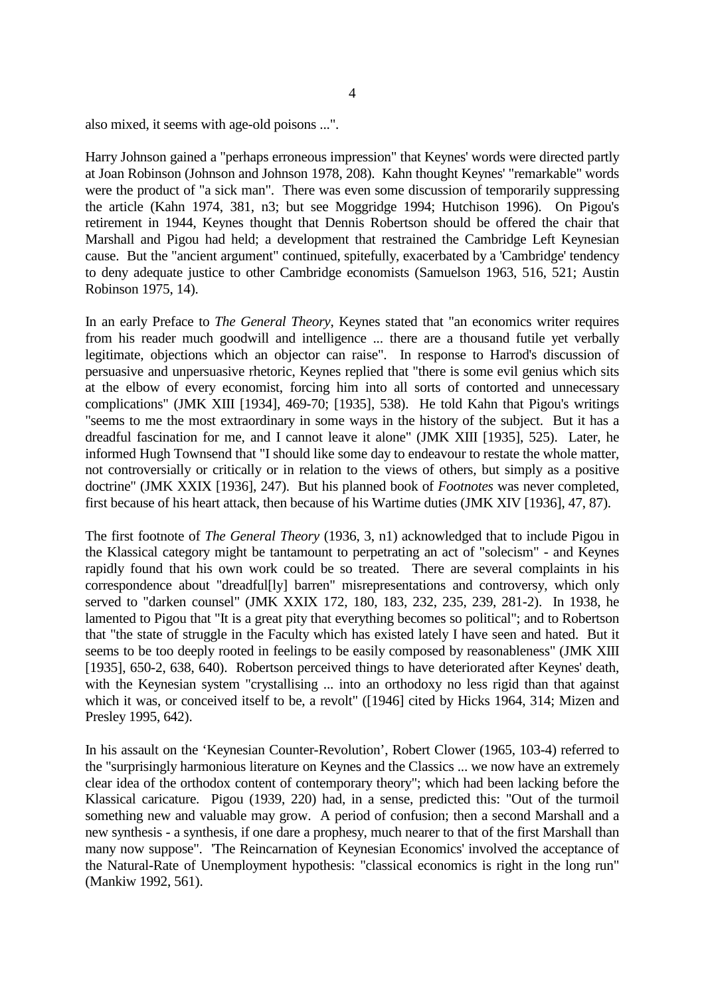also mixed, it seems with age-old poisons ...".

Harry Johnson gained a "perhaps erroneous impression" that Keynes' words were directed partly at Joan Robinson (Johnson and Johnson 1978, 208). Kahn thought Keynes' "remarkable" words were the product of "a sick man". There was even some discussion of temporarily suppressing the article (Kahn 1974, 381, n3; but see Moggridge 1994; Hutchison 1996). On Pigou's retirement in 1944, Keynes thought that Dennis Robertson should be offered the chair that Marshall and Pigou had held; a development that restrained the Cambridge Left Keynesian cause. But the "ancient argument" continued, spitefully, exacerbated by a 'Cambridge' tendency to deny adequate justice to other Cambridge economists (Samuelson 1963, 516, 521; Austin Robinson 1975, 14).

In an early Preface to *The General Theory*, Keynes stated that "an economics writer requires from his reader much goodwill and intelligence ... there are a thousand futile yet verbally legitimate, objections which an objector can raise". In response to Harrod's discussion of persuasive and unpersuasive rhetoric, Keynes replied that "there is some evil genius which sits at the elbow of every economist, forcing him into all sorts of contorted and unnecessary complications" (JMK XIII [1934], 469-70; [1935], 538). He told Kahn that Pigou's writings "seems to me the most extraordinary in some ways in the history of the subject. But it has a dreadful fascination for me, and I cannot leave it alone" (JMK XIII [1935], 525). Later, he informed Hugh Townsend that "I should like some day to endeavour to restate the whole matter, not controversially or critically or in relation to the views of others, but simply as a positive doctrine" (JMK XXIX [1936], 247). But his planned book of *Footnotes* was never completed, first because of his heart attack, then because of his Wartime duties (JMK XIV [1936], 47, 87).

The first footnote of *The General Theory* (1936, 3, n1) acknowledged that to include Pigou in the Klassical category might be tantamount to perpetrating an act of "solecism" - and Keynes rapidly found that his own work could be so treated. There are several complaints in his correspondence about "dreadful[ly] barren" misrepresentations and controversy, which only served to "darken counsel" (JMK XXIX 172, 180, 183, 232, 235, 239, 281-2). In 1938, he lamented to Pigou that "It is a great pity that everything becomes so political"; and to Robertson that "the state of struggle in the Faculty which has existed lately I have seen and hated. But it seems to be too deeply rooted in feelings to be easily composed by reasonableness" (JMK XIII [1935], 650-2, 638, 640). Robertson perceived things to have deteriorated after Keynes' death, with the Keynesian system "crystallising ... into an orthodoxy no less rigid than that against which it was, or conceived itself to be, a revolt" ([1946] cited by Hicks 1964, 314; Mizen and Presley 1995, 642).

In his assault on the 'Keynesian Counter-Revolution', Robert Clower (1965, 103-4) referred to the "surprisingly harmonious literature on Keynes and the Classics ... we now have an extremely clear idea of the orthodox content of contemporary theory"; which had been lacking before the Klassical caricature. Pigou (1939, 220) had, in a sense, predicted this: "Out of the turmoil something new and valuable may grow. A period of confusion; then a second Marshall and a new synthesis - a synthesis, if one dare a prophesy, much nearer to that of the first Marshall than many now suppose". 'The Reincarnation of Keynesian Economics' involved the acceptance of the Natural-Rate of Unemployment hypothesis: "classical economics is right in the long run" (Mankiw 1992, 561).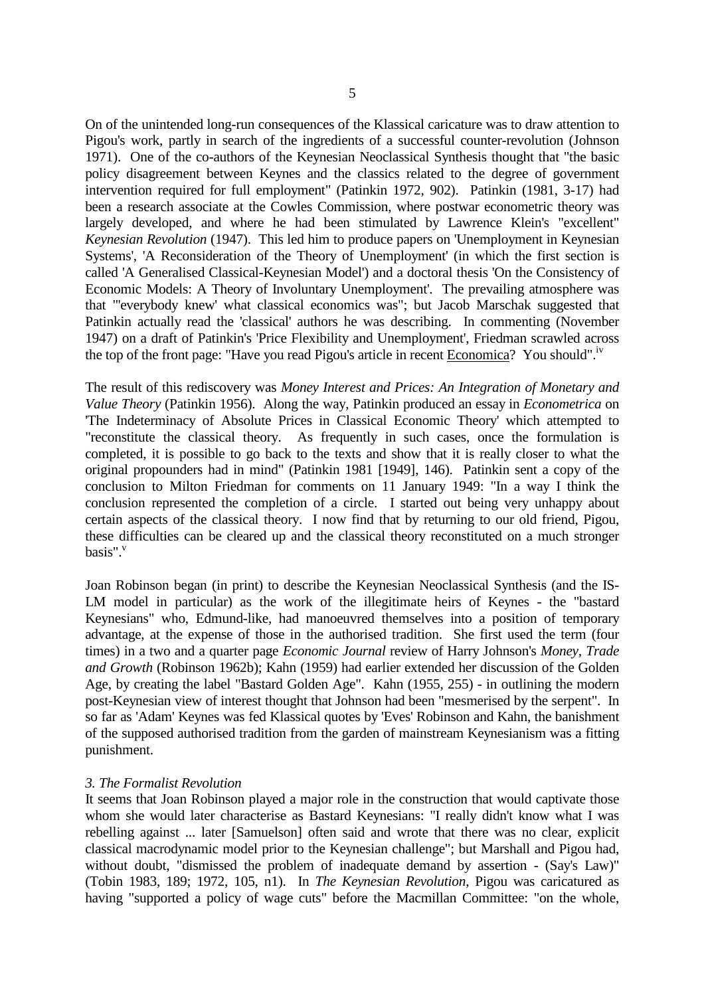On of the unintended long-run consequences of the Klassical caricature was to draw attention to Pigou's work, partly in search of the ingredients of a successful counter-revolution (Johnson 1971). One of the co-authors of the Keynesian Neoclassical Synthesis thought that "the basic policy disagreement between Keynes and the classics related to the degree of government intervention required for full employment" (Patinkin 1972, 902). Patinkin (1981, 3-17) had been a research associate at the Cowles Commission, where postwar econometric theory was largely developed, and where he had been stimulated by Lawrence Klein's "excellent" *Keynesian Revolution* (1947). This led him to produce papers on 'Unemployment in Keynesian Systems', 'A Reconsideration of the Theory of Unemployment' (in which the first section is called 'A Generalised Classical-Keynesian Model') and a doctoral thesis 'On the Consistency of Economic Models: A Theory of Involuntary Unemployment'. The prevailing atmosphere was that "'everybody knew' what classical economics was"; but Jacob Marschak suggested that Patinkin actually read the 'classical' authors he was describing. In commenting (November 1947) on a draft of Patinkin's 'Price Flexibility and Unemployment', Friedman scrawled across the top of the front page: "Have you read Pigou's article in recent **Economica**? You should".<sup>iv</sup>

The result of this rediscovery was *Money Interest and Prices: An Integration of Monetary and Value Theory* (Patinkin 1956). Along the way, Patinkin produced an essay in *Econometrica* on 'The Indeterminacy of Absolute Prices in Classical Economic Theory' which attempted to "reconstitute the classical theory. As frequently in such cases, once the formulation is completed, it is possible to go back to the texts and show that it is really closer to what the original propounders had in mind" (Patinkin 1981 [1949], 146). Patinkin sent a copy of the conclusion to Milton Friedman for comments on 11 January 1949: "In a way I think the conclusion represented the completion of a circle. I started out being very unhappy about certain aspects of the classical theory. I now find that by returning to our old friend, Pigou, these difficulties can be cleared up and the classical theory reconstituted on a much stronger basis". $v$ 

Joan Robinson began (in print) to describe the Keynesian Neoclassical Synthesis (and the IS-LM model in particular) as the work of the illegitimate heirs of Keynes - the "bastard Keynesians" who, Edmund-like, had manoeuvred themselves into a position of temporary advantage, at the expense of those in the authorised tradition. She first used the term (four times) in a two and a quarter page *Economic Journal* review of Harry Johnson's *Money, Trade and Growth* (Robinson 1962b); Kahn (1959) had earlier extended her discussion of the Golden Age, by creating the label "Bastard Golden Age". Kahn (1955, 255) - in outlining the modern post-Keynesian view of interest thought that Johnson had been "mesmerised by the serpent". In so far as 'Adam' Keynes was fed Klassical quotes by 'Eves' Robinson and Kahn, the banishment of the supposed authorised tradition from the garden of mainstream Keynesianism was a fitting punishment.

### *3. The Formalist Revolution*

It seems that Joan Robinson played a major role in the construction that would captivate those whom she would later characterise as Bastard Keynesians: "I really didn't know what I was rebelling against ... later [Samuelson] often said and wrote that there was no clear, explicit classical macrodynamic model prior to the Keynesian challenge"; but Marshall and Pigou had, without doubt, "dismissed the problem of inadequate demand by assertion - (Say's Law)" (Tobin 1983, 189; 1972, 105, n1). In *The Keynesian Revolution*, Pigou was caricatured as having "supported a policy of wage cuts" before the Macmillan Committee: "on the whole,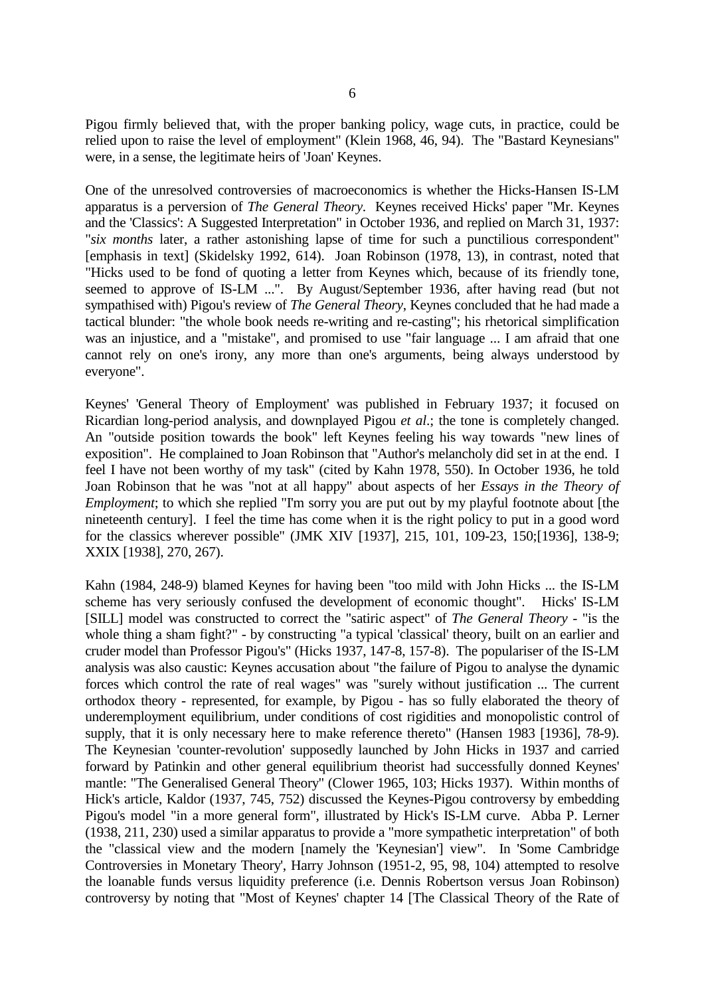Pigou firmly believed that, with the proper banking policy, wage cuts, in practice, could be relied upon to raise the level of employment" (Klein 1968, 46, 94). The "Bastard Keynesians" were, in a sense, the legitimate heirs of 'Joan' Keynes.

One of the unresolved controversies of macroeconomics is whether the Hicks-Hansen IS-LM apparatus is a perversion of *The General Theory*. Keynes received Hicks' paper "Mr. Keynes and the 'Classics': A Suggested Interpretation" in October 1936, and replied on March 31, 1937: "*six months* later, a rather astonishing lapse of time for such a punctilious correspondent" [emphasis in text] (Skidelsky 1992, 614). Joan Robinson (1978, 13), in contrast, noted that "Hicks used to be fond of quoting a letter from Keynes which, because of its friendly tone, seemed to approve of IS-LM ...". By August/September 1936, after having read (but not sympathised with) Pigou's review of *The General Theory*, Keynes concluded that he had made a tactical blunder: "the whole book needs re-writing and re-casting"; his rhetorical simplification was an injustice, and a "mistake", and promised to use "fair language ... I am afraid that one cannot rely on one's irony, any more than one's arguments, being always understood by everyone".

Keynes' 'General Theory of Employment' was published in February 1937; it focused on Ricardian long-period analysis, and downplayed Pigou *et al*.; the tone is completely changed. An "outside position towards the book" left Keynes feeling his way towards "new lines of exposition". He complained to Joan Robinson that "Author's melancholy did set in at the end. I feel I have not been worthy of my task" (cited by Kahn 1978, 550). In October 1936, he told Joan Robinson that he was "not at all happy" about aspects of her *Essays in the Theory of Employment*; to which she replied "I'm sorry you are put out by my playful footnote about [the nineteenth century]. I feel the time has come when it is the right policy to put in a good word for the classics wherever possible" (JMK XIV [1937], 215, 101, 109-23, 150;[1936], 138-9; XXIX [1938], 270, 267).

Kahn (1984, 248-9) blamed Keynes for having been "too mild with John Hicks ... the IS-LM scheme has very seriously confused the development of economic thought". Hicks' IS-LM [SILL] model was constructed to correct the "satiric aspect" of *The General Theory* - "is the whole thing a sham fight?" - by constructing "a typical 'classical' theory, built on an earlier and cruder model than Professor Pigou's" (Hicks 1937, 147-8, 157-8). The populariser of the IS-LM analysis was also caustic: Keynes accusation about "the failure of Pigou to analyse the dynamic forces which control the rate of real wages" was "surely without justification ... The current orthodox theory - represented, for example, by Pigou - has so fully elaborated the theory of underemployment equilibrium, under conditions of cost rigidities and monopolistic control of supply, that it is only necessary here to make reference thereto" (Hansen 1983 [1936], 78-9). The Keynesian 'counter-revolution' supposedly launched by John Hicks in 1937 and carried forward by Patinkin and other general equilibrium theorist had successfully donned Keynes' mantle: "The Generalised General Theory" (Clower 1965, 103; Hicks 1937). Within months of Hick's article, Kaldor (1937, 745, 752) discussed the Keynes-Pigou controversy by embedding Pigou's model "in a more general form", illustrated by Hick's IS-LM curve. Abba P. Lerner (1938, 211, 230) used a similar apparatus to provide a "more sympathetic interpretation" of both the "classical view and the modern [namely the 'Keynesian'] view". In 'Some Cambridge Controversies in Monetary Theory', Harry Johnson (1951-2, 95, 98, 104) attempted to resolve the loanable funds versus liquidity preference (i.e. Dennis Robertson versus Joan Robinson) controversy by noting that "Most of Keynes' chapter 14 [The Classical Theory of the Rate of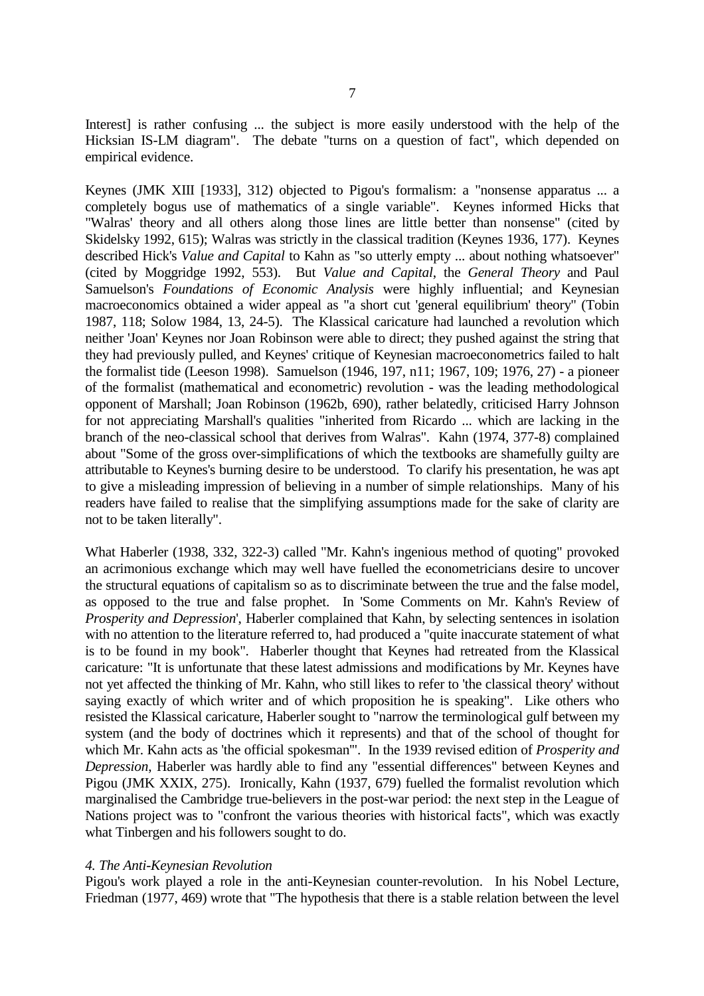Interest] is rather confusing ... the subject is more easily understood with the help of the Hicksian IS-LM diagram". The debate "turns on a question of fact", which depended on empirical evidence.

Keynes (JMK XIII [1933], 312) objected to Pigou's formalism: a "nonsense apparatus ... a completely bogus use of mathematics of a single variable". Keynes informed Hicks that "Walras' theory and all others along those lines are little better than nonsense" (cited by Skidelsky 1992, 615); Walras was strictly in the classical tradition (Keynes 1936, 177). Keynes described Hick's *Value and Capital* to Kahn as "so utterly empty ... about nothing whatsoever" (cited by Moggridge 1992, 553). But *Value and Capital*, the *General Theory* and Paul Samuelson's *Foundations of Economic Analysis* were highly influential; and Keynesian macroeconomics obtained a wider appeal as "a short cut 'general equilibrium' theory" (Tobin 1987, 118; Solow 1984, 13, 24-5). The Klassical caricature had launched a revolution which neither 'Joan' Keynes nor Joan Robinson were able to direct; they pushed against the string that they had previously pulled, and Keynes' critique of Keynesian macroeconometrics failed to halt the formalist tide (Leeson 1998). Samuelson (1946, 197, n11; 1967, 109; 1976, 27) - a pioneer of the formalist (mathematical and econometric) revolution - was the leading methodological opponent of Marshall; Joan Robinson (1962b, 690), rather belatedly, criticised Harry Johnson for not appreciating Marshall's qualities "inherited from Ricardo ... which are lacking in the branch of the neo-classical school that derives from Walras". Kahn (1974, 377-8) complained about "Some of the gross over-simplifications of which the textbooks are shamefully guilty are attributable to Keynes's burning desire to be understood. To clarify his presentation, he was apt to give a misleading impression of believing in a number of simple relationships. Many of his readers have failed to realise that the simplifying assumptions made for the sake of clarity are not to be taken literally".

What Haberler (1938, 332, 322-3) called "Mr. Kahn's ingenious method of quoting" provoked an acrimonious exchange which may well have fuelled the econometricians desire to uncover the structural equations of capitalism so as to discriminate between the true and the false model, as opposed to the true and false prophet. In 'Some Comments on Mr. Kahn's Review of *Prosperity and Depression*', Haberler complained that Kahn, by selecting sentences in isolation with no attention to the literature referred to, had produced a "quite inaccurate statement of what is to be found in my book". Haberler thought that Keynes had retreated from the Klassical caricature: "It is unfortunate that these latest admissions and modifications by Mr. Keynes have not yet affected the thinking of Mr. Kahn, who still likes to refer to 'the classical theory' without saying exactly of which writer and of which proposition he is speaking". Like others who resisted the Klassical caricature, Haberler sought to "narrow the terminological gulf between my system (and the body of doctrines which it represents) and that of the school of thought for which Mr. Kahn acts as 'the official spokesman'". In the 1939 revised edition of *Prosperity and Depression*, Haberler was hardly able to find any "essential differences" between Keynes and Pigou (JMK XXIX, 275). Ironically, Kahn (1937, 679) fuelled the formalist revolution which marginalised the Cambridge true-believers in the post-war period: the next step in the League of Nations project was to "confront the various theories with historical facts", which was exactly what Tinbergen and his followers sought to do.

### *4. The Anti-Keynesian Revolution*

Pigou's work played a role in the anti-Keynesian counter-revolution. In his Nobel Lecture, Friedman (1977, 469) wrote that "The hypothesis that there is a stable relation between the level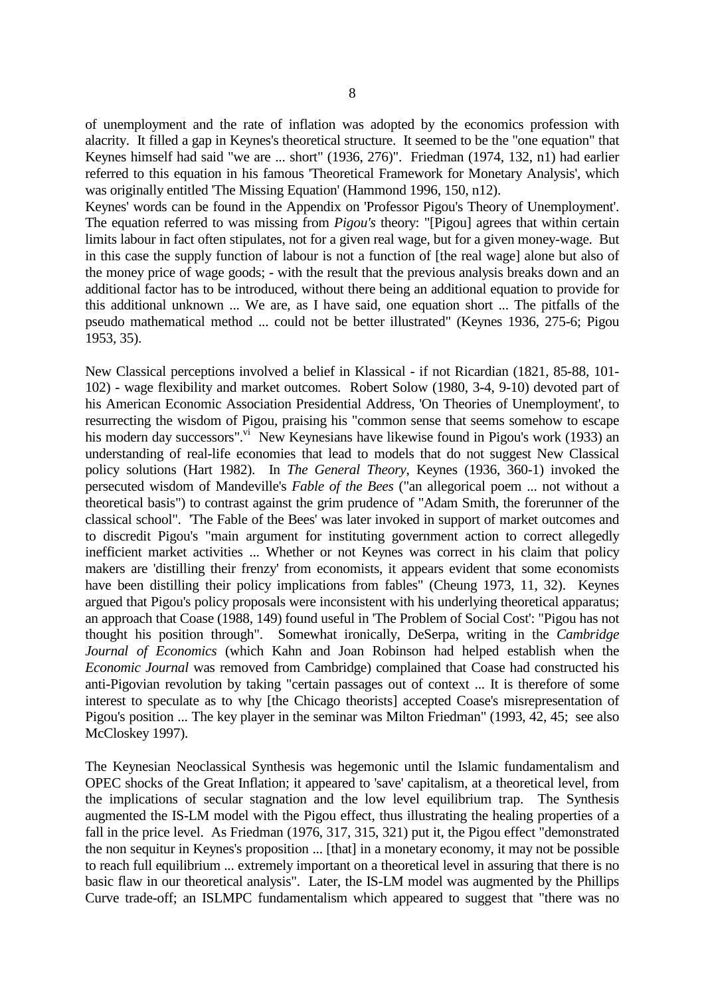of unemployment and the rate of inflation was adopted by the economics profession with alacrity. It filled a gap in Keynes's theoretical structure. It seemed to be the "one equation" that Keynes himself had said "we are ... short" (1936, 276)". Friedman (1974, 132, n1) had earlier referred to this equation in his famous 'Theoretical Framework for Monetary Analysis', which was originally entitled 'The Missing Equation' (Hammond 1996, 150, n12).

Keynes' words can be found in the Appendix on 'Professor Pigou's Theory of Unemployment'. The equation referred to was missing from *Pigou's* theory: "[Pigou] agrees that within certain limits labour in fact often stipulates, not for a given real wage, but for a given money-wage. But in this case the supply function of labour is not a function of [the real wage] alone but also of the money price of wage goods; - with the result that the previous analysis breaks down and an additional factor has to be introduced, without there being an additional equation to provide for this additional unknown ... We are, as I have said, one equation short ... The pitfalls of the pseudo mathematical method ... could not be better illustrated" (Keynes 1936, 275-6; Pigou 1953, 35).

New Classical perceptions involved a belief in Klassical - if not Ricardian (1821, 85-88, 101- 102) - wage flexibility and market outcomes. Robert Solow (1980, 3-4, 9-10) devoted part of his American Economic Association Presidential Address, 'On Theories of Unemployment', to resurrecting the wisdom of Pigou, praising his "common sense that seems somehow to escape his modern day successors". New Keynesians have likewise found in Pigou's work (1933) an understanding of real-life economies that lead to models that do not suggest New Classical policy solutions (Hart 1982). In *The General Theory*, Keynes (1936, 360-1) invoked the persecuted wisdom of Mandeville's *Fable of the Bees* ("an allegorical poem ... not without a theoretical basis") to contrast against the grim prudence of "Adam Smith, the forerunner of the classical school". 'The Fable of the Bees' was later invoked in support of market outcomes and to discredit Pigou's "main argument for instituting government action to correct allegedly inefficient market activities ... Whether or not Keynes was correct in his claim that policy makers are 'distilling their frenzy' from economists, it appears evident that some economists have been distilling their policy implications from fables" (Cheung 1973, 11, 32). Keynes argued that Pigou's policy proposals were inconsistent with his underlying theoretical apparatus; an approach that Coase (1988, 149) found useful in 'The Problem of Social Cost': "Pigou has not thought his position through". Somewhat ironically, DeSerpa, writing in the *Cambridge Journal of Economics* (which Kahn and Joan Robinson had helped establish when the *Economic Journal* was removed from Cambridge) complained that Coase had constructed his anti-Pigovian revolution by taking "certain passages out of context ... It is therefore of some interest to speculate as to why [the Chicago theorists] accepted Coase's misrepresentation of Pigou's position ... The key player in the seminar was Milton Friedman" (1993, 42, 45; see also McCloskey 1997).

The Keynesian Neoclassical Synthesis was hegemonic until the Islamic fundamentalism and OPEC shocks of the Great Inflation; it appeared to 'save' capitalism, at a theoretical level, from the implications of secular stagnation and the low level equilibrium trap. The Synthesis augmented the IS-LM model with the Pigou effect, thus illustrating the healing properties of a fall in the price level. As Friedman (1976, 317, 315, 321) put it, the Pigou effect "demonstrated the non sequitur in Keynes's proposition ... [that] in a monetary economy, it may not be possible to reach full equilibrium ... extremely important on a theoretical level in assuring that there is no basic flaw in our theoretical analysis". Later, the IS-LM model was augmented by the Phillips Curve trade-off; an ISLMPC fundamentalism which appeared to suggest that "there was no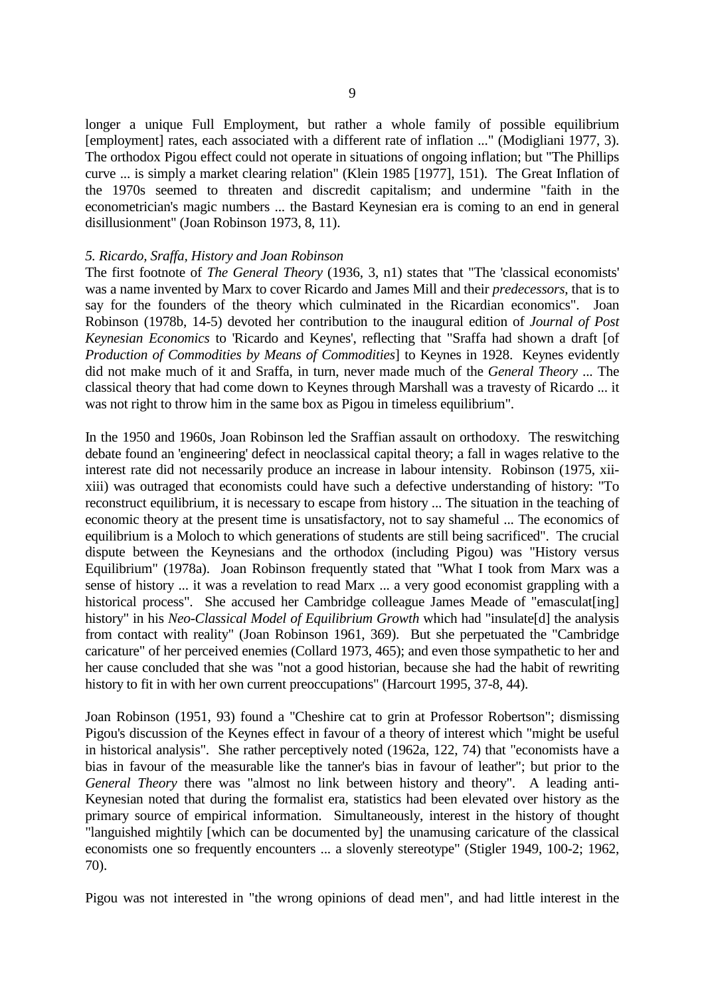longer a unique Full Employment, but rather a whole family of possible equilibrium [employment] rates, each associated with a different rate of inflation ..." (Modigliani 1977, 3). The orthodox Pigou effect could not operate in situations of ongoing inflation; but "The Phillips curve ... is simply a market clearing relation" (Klein 1985 [1977], 151). The Great Inflation of the 1970s seemed to threaten and discredit capitalism; and undermine "faith in the econometrician's magic numbers ... the Bastard Keynesian era is coming to an end in general disillusionment" (Joan Robinson 1973, 8, 11).

### *5. Ricardo, Sraffa, History and Joan Robinson*

The first footnote of *The General Theory* (1936, 3, n1) states that "The 'classical economists' was a name invented by Marx to cover Ricardo and James Mill and their *predecessors*, that is to say for the founders of the theory which culminated in the Ricardian economics". Joan Robinson (1978b, 14-5) devoted her contribution to the inaugural edition of *Journal of Post Keynesian Economics* to 'Ricardo and Keynes', reflecting that "Sraffa had shown a draft [of *Production of Commodities by Means of Commodities*] to Keynes in 1928. Keynes evidently did not make much of it and Sraffa, in turn, never made much of the *General Theory* ... The classical theory that had come down to Keynes through Marshall was a travesty of Ricardo ... it was not right to throw him in the same box as Pigou in timeless equilibrium".

In the 1950 and 1960s, Joan Robinson led the Sraffian assault on orthodoxy. The reswitching debate found an 'engineering' defect in neoclassical capital theory; a fall in wages relative to the interest rate did not necessarily produce an increase in labour intensity. Robinson (1975, xiixiii) was outraged that economists could have such a defective understanding of history: "To reconstruct equilibrium, it is necessary to escape from history ... The situation in the teaching of economic theory at the present time is unsatisfactory, not to say shameful ... The economics of equilibrium is a Moloch to which generations of students are still being sacrificed". The crucial dispute between the Keynesians and the orthodox (including Pigou) was "History versus Equilibrium" (1978a). Joan Robinson frequently stated that "What I took from Marx was a sense of history ... it was a revelation to read Marx ... a very good economist grappling with a historical process". She accused her Cambridge colleague James Meade of "emasculat [ing] history" in his *Neo-Classical Model of Equilibrium Growth* which had "insulate[d] the analysis from contact with reality" (Joan Robinson 1961, 369). But she perpetuated the "Cambridge caricature" of her perceived enemies (Collard 1973, 465); and even those sympathetic to her and her cause concluded that she was "not a good historian, because she had the habit of rewriting history to fit in with her own current preoccupations" (Harcourt 1995, 37-8, 44).

Joan Robinson (1951, 93) found a "Cheshire cat to grin at Professor Robertson"; dismissing Pigou's discussion of the Keynes effect in favour of a theory of interest which "might be useful in historical analysis". She rather perceptively noted (1962a, 122, 74) that "economists have a bias in favour of the measurable like the tanner's bias in favour of leather"; but prior to the *General Theory* there was "almost no link between history and theory". A leading anti-Keynesian noted that during the formalist era, statistics had been elevated over history as the primary source of empirical information. Simultaneously, interest in the history of thought "languished mightily [which can be documented by] the unamusing caricature of the classical economists one so frequently encounters ... a slovenly stereotype" (Stigler 1949, 100-2; 1962, 70).

Pigou was not interested in "the wrong opinions of dead men", and had little interest in the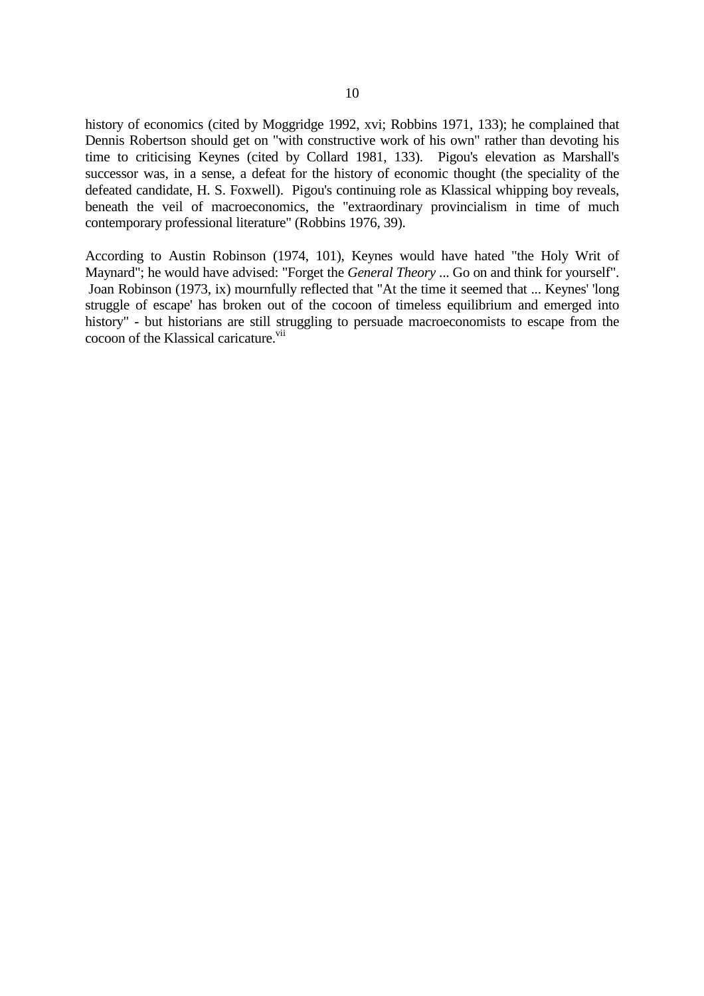history of economics (cited by Moggridge 1992, xvi; Robbins 1971, 133); he complained that Dennis Robertson should get on "with constructive work of his own" rather than devoting his time to criticising Keynes (cited by Collard 1981, 133). Pigou's elevation as Marshall's successor was, in a sense, a defeat for the history of economic thought (the speciality of the defeated candidate, H. S. Foxwell). Pigou's continuing role as Klassical whipping boy reveals, beneath the veil of macroeconomics, the "extraordinary provincialism in time of much contemporary professional literature" (Robbins 1976, 39).

According to Austin Robinson (1974, 101), Keynes would have hated "the Holy Writ of Maynard"; he would have advised: "Forget the *General Theory* ... Go on and think for yourself". Joan Robinson (1973, ix) mournfully reflected that "At the time it seemed that ... Keynes' 'long struggle of escape' has broken out of the cocoon of timeless equilibrium and emerged into history" - but historians are still struggling to persuade macroeconomists to escape from the cocoon of the Klassical caricature.<sup>vii</sup>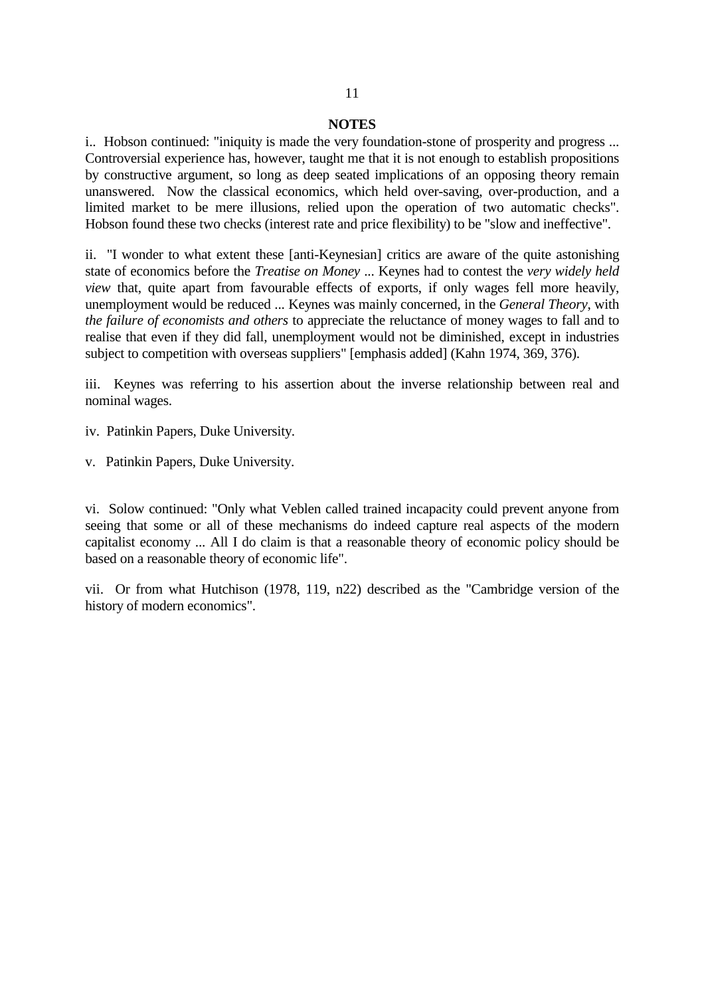#### **NOTES**

i.. Hobson continued: "iniquity is made the very foundation-stone of prosperity and progress ... Controversial experience has, however, taught me that it is not enough to establish propositions by constructive argument, so long as deep seated implications of an opposing theory remain unanswered. Now the classical economics, which held over-saving, over-production, and a limited market to be mere illusions, relied upon the operation of two automatic checks". Hobson found these two checks (interest rate and price flexibility) to be "slow and ineffective".

ii. "I wonder to what extent these [anti-Keynesian] critics are aware of the quite astonishing state of economics before the *Treatise on Money* ... Keynes had to contest the *very widely held view* that, quite apart from favourable effects of exports, if only wages fell more heavily, unemployment would be reduced ... Keynes was mainly concerned, in the *General Theory*, with *the failure of economists and others* to appreciate the reluctance of money wages to fall and to realise that even if they did fall, unemployment would not be diminished, except in industries subject to competition with overseas suppliers" [emphasis added] (Kahn 1974, 369, 376).

iii. Keynes was referring to his assertion about the inverse relationship between real and nominal wages.

iv. Patinkin Papers, Duke University.

v. Patinkin Papers, Duke University.

vi. Solow continued: "Only what Veblen called trained incapacity could prevent anyone from seeing that some or all of these mechanisms do indeed capture real aspects of the modern capitalist economy ... All I do claim is that a reasonable theory of economic policy should be based on a reasonable theory of economic life".

vii. Or from what Hutchison (1978, 119, n22) described as the "Cambridge version of the history of modern economics".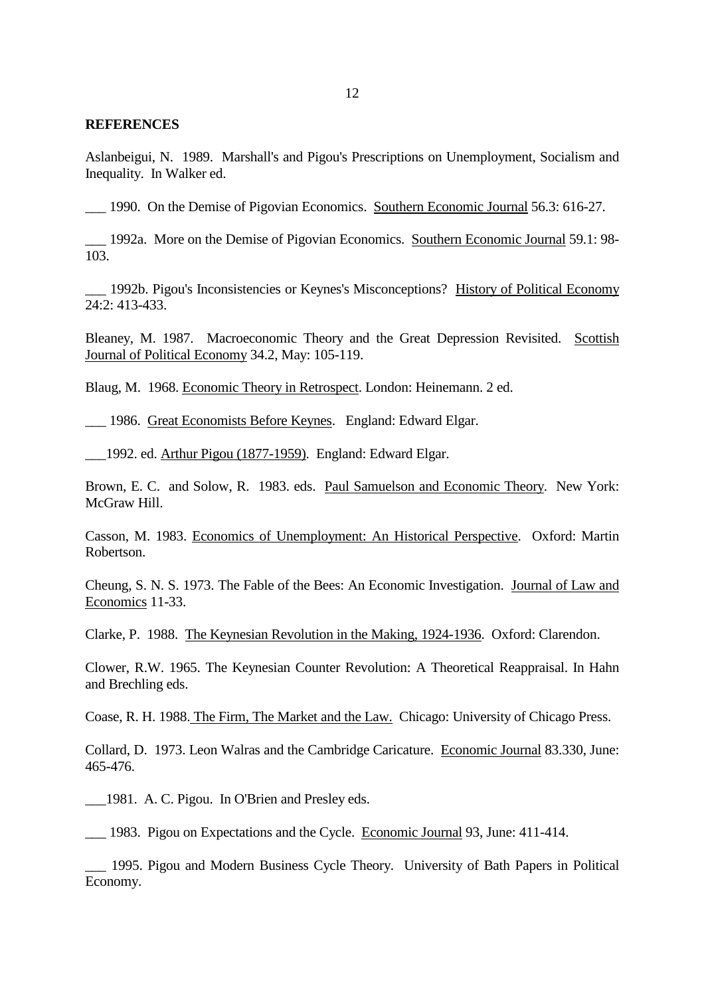### **REFERENCES**

Aslanbeigui, N. 1989. Marshall's and Pigou's Prescriptions on Unemployment, Socialism and Inequality. In Walker ed.

\_\_\_ 1990. On the Demise of Pigovian Economics. Southern Economic Journal 56.3: 616-27.

\_\_\_ 1992a. More on the Demise of Pigovian Economics. Southern Economic Journal 59.1: 98- 103.

\_\_\_ 1992b. Pigou's Inconsistencies or Keynes's Misconceptions? History of Political Economy 24:2: 413-433.

Bleaney, M. 1987. Macroeconomic Theory and the Great Depression Revisited. Scottish Journal of Political Economy 34.2, May: 105-119.

Blaug, M. 1968. Economic Theory in Retrospect. London: Heinemann. 2 ed.

\_\_\_ 1986. Great Economists Before Keynes. England: Edward Elgar.

\_\_\_1992. ed. Arthur Pigou (1877-1959). England: Edward Elgar.

Brown, E. C. and Solow, R. 1983. eds. Paul Samuelson and Economic Theory. New York: McGraw Hill.

Casson, M. 1983. Economics of Unemployment: An Historical Perspective. Oxford: Martin Robertson.

Cheung, S. N. S. 1973. The Fable of the Bees: An Economic Investigation. Journal of Law and Economics 11-33.

Clarke, P. 1988. The Keynesian Revolution in the Making, 1924-1936. Oxford: Clarendon.

Clower, R.W. 1965. The Keynesian Counter Revolution: A Theoretical Reappraisal. In Hahn and Brechling eds.

Coase, R. H. 1988. The Firm, The Market and the Law. Chicago: University of Chicago Press.

Collard, D. 1973. Leon Walras and the Cambridge Caricature. Economic Journal 83.330, June: 465-476.

\_\_\_1981. A. C. Pigou. In O'Brien and Presley eds.

\_\_\_ 1983. Pigou on Expectations and the Cycle. Economic Journal 93, June: 411-414.

\_\_\_ 1995. Pigou and Modern Business Cycle Theory. University of Bath Papers in Political Economy.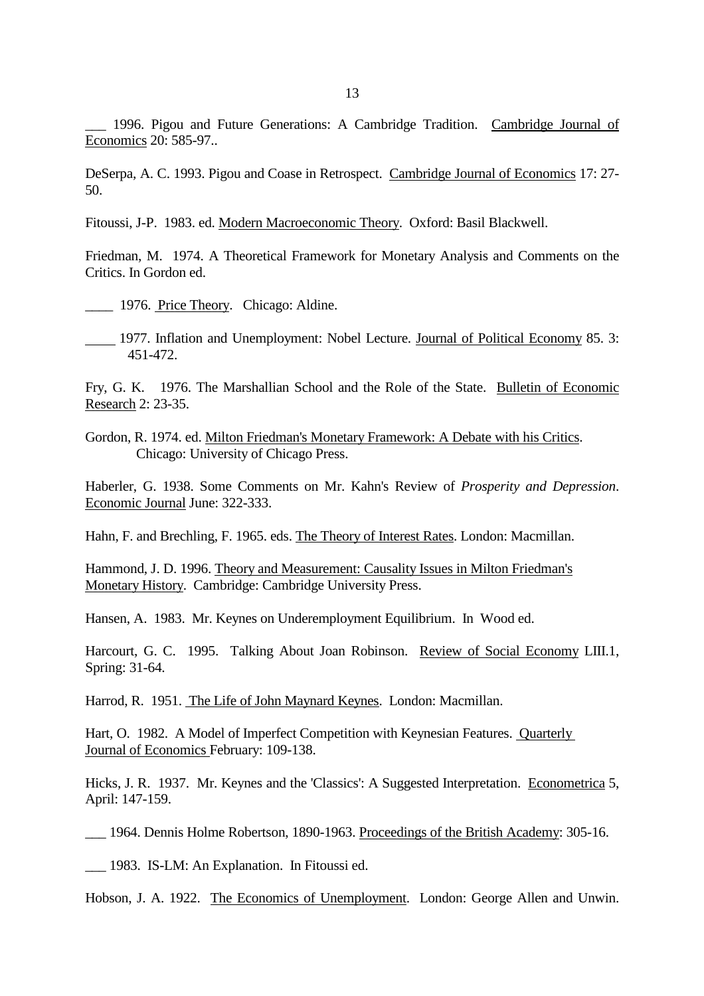\_\_\_ 1996. Pigou and Future Generations: A Cambridge Tradition. Cambridge Journal of Economics 20: 585-97..

DeSerpa, A. C. 1993. Pigou and Coase in Retrospect. Cambridge Journal of Economics 17: 27- 50.

Fitoussi, J-P. 1983. ed. Modern Macroeconomic Theory. Oxford: Basil Blackwell.

Friedman, M. 1974. A Theoretical Framework for Monetary Analysis and Comments on the Critics. In Gordon ed.

1976. Price Theory. Chicago: Aldine.

1977. Inflation and Unemployment: Nobel Lecture. Journal of Political Economy 85. 3: 451-472.

Fry, G. K. 1976. The Marshallian School and the Role of the State. Bulletin of Economic Research 2: 23-35.

Gordon, R. 1974. ed. Milton Friedman's Monetary Framework: A Debate with his Critics. Chicago: University of Chicago Press.

Haberler, G. 1938. Some Comments on Mr. Kahn's Review of *Prosperity and Depression*. Economic Journal June: 322-333.

Hahn, F. and Brechling, F. 1965. eds. The Theory of Interest Rates. London: Macmillan.

Hammond, J. D. 1996. Theory and Measurement: Causality Issues in Milton Friedman's Monetary History. Cambridge: Cambridge University Press.

Hansen, A. 1983. Mr. Keynes on Underemployment Equilibrium. In Wood ed.

Harcourt, G. C. 1995. Talking About Joan Robinson. Review of Social Economy LIII.1, Spring: 31-64.

Harrod, R. 1951. The Life of John Maynard Keynes. London: Macmillan.

Hart, O. 1982. A Model of Imperfect Competition with Keynesian Features. Quarterly Journal of Economics February: 109-138.

Hicks, J. R. 1937. Mr. Keynes and the 'Classics': A Suggested Interpretation. Econometrica 5, April: 147-159.

\_\_\_ 1964. Dennis Holme Robertson, 1890-1963. Proceedings of the British Academy: 305-16.

\_\_\_ 1983. IS-LM: An Explanation. In Fitoussi ed.

Hobson, J. A. 1922. The Economics of Unemployment. London: George Allen and Unwin.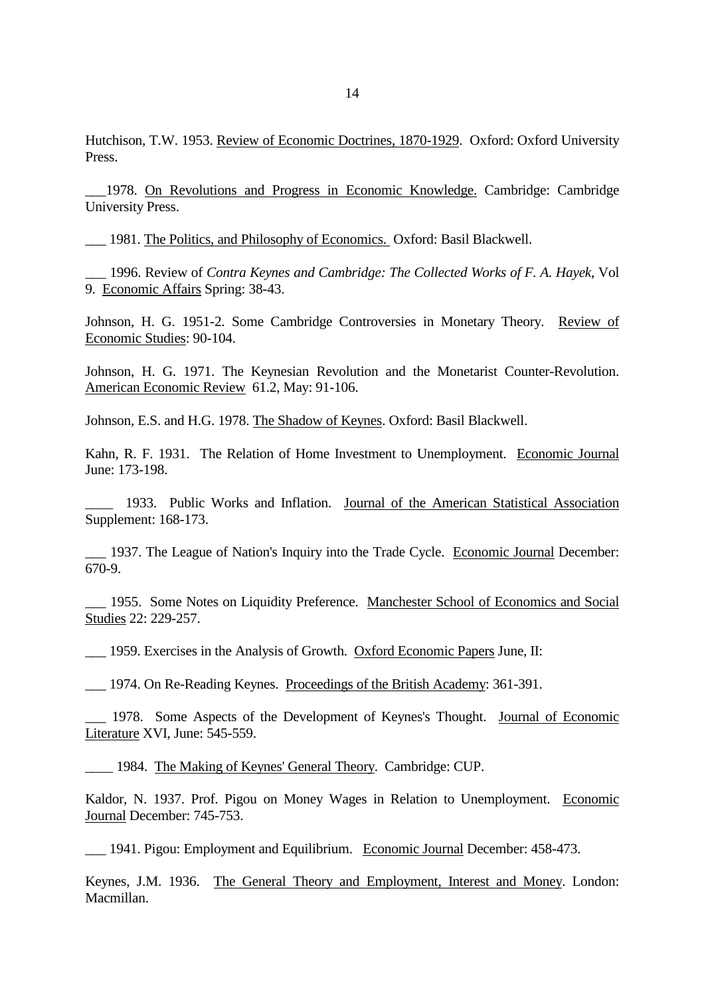\_\_\_1978. On Revolutions and Progress in Economic Knowledge. Cambridge: Cambridge University Press.

\_\_\_ 1981. The Politics, and Philosophy of Economics. Oxford: Basil Blackwell.

\_\_\_ 1996. Review of *Contra Keynes and Cambridge: The Collected Works of F. A. Hayek*, Vol 9. Economic Affairs Spring: 38-43.

Johnson, H. G. 1951-2. Some Cambridge Controversies in Monetary Theory. Review of Economic Studies: 90-104.

Johnson, H. G. 1971. The Keynesian Revolution and the Monetarist Counter-Revolution. American Economic Review 61.2, May: 91-106.

Johnson, E.S. and H.G. 1978. The Shadow of Keynes. Oxford: Basil Blackwell.

Kahn, R. F. 1931. The Relation of Home Investment to Unemployment. Economic Journal June: 173-198.

1933. Public Works and Inflation. Journal of the American Statistical Association Supplement: 168-173.

\_\_\_ 1937. The League of Nation's Inquiry into the Trade Cycle. Economic Journal December: 670-9.

\_\_\_ 1955. Some Notes on Liquidity Preference. Manchester School of Economics and Social Studies 22: 229-257.

\_\_\_ 1959. Exercises in the Analysis of Growth. Oxford Economic Papers June, II:

\_\_\_ 1974. On Re-Reading Keynes. Proceedings of the British Academy: 361-391.

\_\_\_ 1978. Some Aspects of the Development of Keynes's Thought. Journal of Economic Literature XVI, June: 545-559.

\_\_\_\_ 1984. The Making of Keynes' General Theory. Cambridge: CUP.

Kaldor, N. 1937. Prof. Pigou on Money Wages in Relation to Unemployment. Economic Journal December: 745-753.

\_\_\_ 1941. Pigou: Employment and Equilibrium. Economic Journal December: 458-473.

Keynes, J.M. 1936. The General Theory and Employment, Interest and Money. London: Macmillan.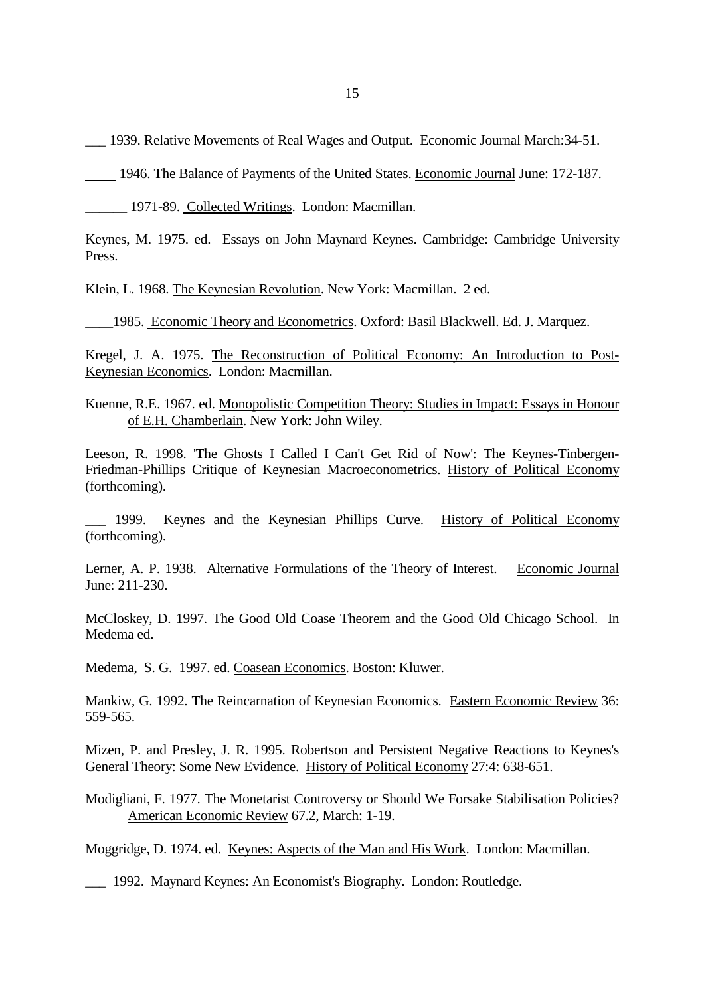\_\_\_ 1939. Relative Movements of Real Wages and Output. Economic Journal March:34-51.

1946. The Balance of Payments of the United States. Economic Journal June: 172-187.

\_\_\_\_\_\_ 1971-89. Collected Writings. London: Macmillan.

Keynes, M. 1975. ed. Essays on John Maynard Keynes. Cambridge: Cambridge University Press.

Klein, L. 1968. The Keynesian Revolution. New York: Macmillan. 2 ed.

\_\_\_\_1985. Economic Theory and Econometrics. Oxford: Basil Blackwell. Ed. J. Marquez.

Kregel, J. A. 1975. The Reconstruction of Political Economy: An Introduction to Post-Keynesian Economics. London: Macmillan.

Kuenne, R.E. 1967. ed. Monopolistic Competition Theory: Studies in Impact: Essays in Honour of E.H. Chamberlain. New York: John Wiley.

Leeson, R. 1998. 'The Ghosts I Called I Can't Get Rid of Now': The Keynes-Tinbergen-Friedman-Phillips Critique of Keynesian Macroeconometrics. History of Political Economy (forthcoming).

1999. Keynes and the Keynesian Phillips Curve. History of Political Economy (forthcoming).

Lerner, A. P. 1938. Alternative Formulations of the Theory of Interest. Economic Journal June: 211-230.

McCloskey, D. 1997. The Good Old Coase Theorem and the Good Old Chicago School. In Medema ed.

Medema, S. G. 1997. ed. Coasean Economics. Boston: Kluwer.

Mankiw, G. 1992. The Reincarnation of Keynesian Economics. Eastern Economic Review 36: 559-565.

Mizen, P. and Presley, J. R. 1995. Robertson and Persistent Negative Reactions to Keynes's General Theory: Some New Evidence. History of Political Economy 27:4: 638-651.

Modigliani, F. 1977. The Monetarist Controversy or Should We Forsake Stabilisation Policies? American Economic Review 67.2, March: 1-19.

Moggridge, D. 1974. ed. Keynes: Aspects of the Man and His Work. London: Macmillan.

\_\_\_ 1992. Maynard Keynes: An Economist's Biography. London: Routledge.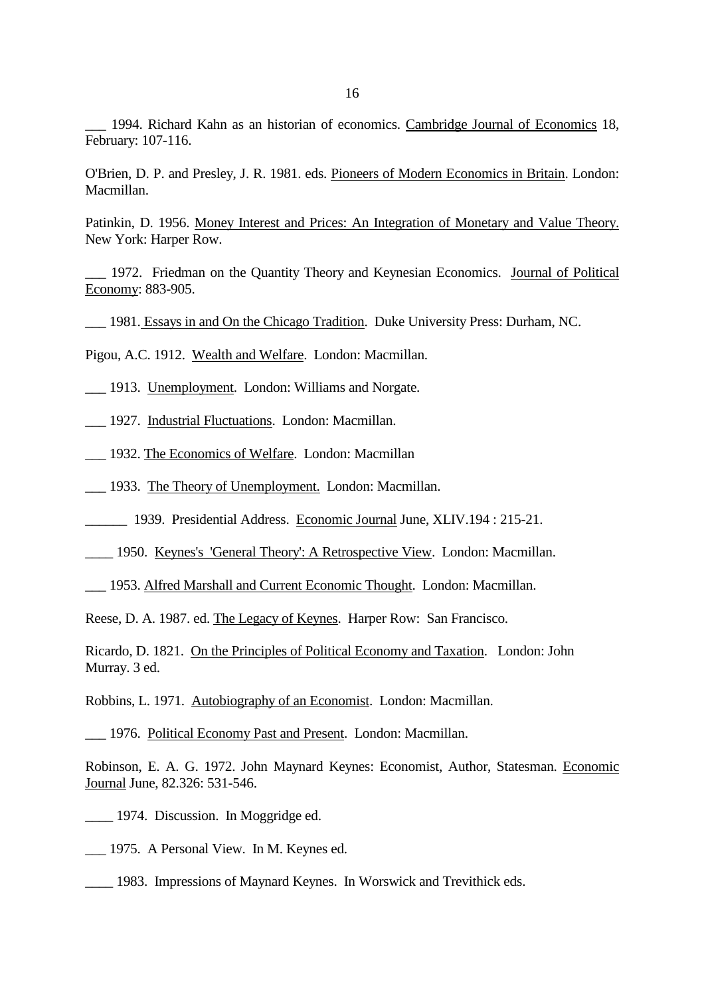\_\_\_ 1994. Richard Kahn as an historian of economics. Cambridge Journal of Economics 18, February: 107-116.

O'Brien, D. P. and Presley, J. R. 1981. eds. Pioneers of Modern Economics in Britain. London: Macmillan.

Patinkin, D. 1956. Money Interest and Prices: An Integration of Monetary and Value Theory. New York: Harper Row.

\_\_\_ 1972. Friedman on the Quantity Theory and Keynesian Economics. Journal of Political Economy: 883-905.

\_\_\_ 1981. Essays in and On the Chicago Tradition. Duke University Press: Durham, NC.

Pigou, A.C. 1912. Wealth and Welfare. London: Macmillan.

\_\_\_ 1913. Unemployment. London: Williams and Norgate.

\_\_\_ 1927. Industrial Fluctuations. London: Macmillan.

\_\_\_ 1932. The Economics of Welfare. London: Macmillan

\_\_\_ 1933. The Theory of Unemployment. London: Macmillan.

\_\_\_\_\_\_ 1939. Presidential Address. Economic Journal June, XLIV.194 : 215-21.

\_\_\_\_ 1950. Keynes's 'General Theory': A Retrospective View. London: Macmillan.

\_\_\_ 1953. Alfred Marshall and Current Economic Thought. London: Macmillan.

Reese, D. A. 1987. ed. The Legacy of Keynes. Harper Row: San Francisco.

Ricardo, D. 1821. On the Principles of Political Economy and Taxation. London: John Murray. 3 ed.

Robbins, L. 1971. Autobiography of an Economist. London: Macmillan.

\_\_\_ 1976. Political Economy Past and Present. London: Macmillan.

Robinson, E. A. G. 1972. John Maynard Keynes: Economist, Author, Statesman. Economic Journal June, 82.326: 531-546.

- \_\_\_\_ 1974. Discussion. In Moggridge ed.
- \_\_\_ 1975. A Personal View. In M. Keynes ed.
- \_\_\_\_ 1983. Impressions of Maynard Keynes. In Worswick and Trevithick eds.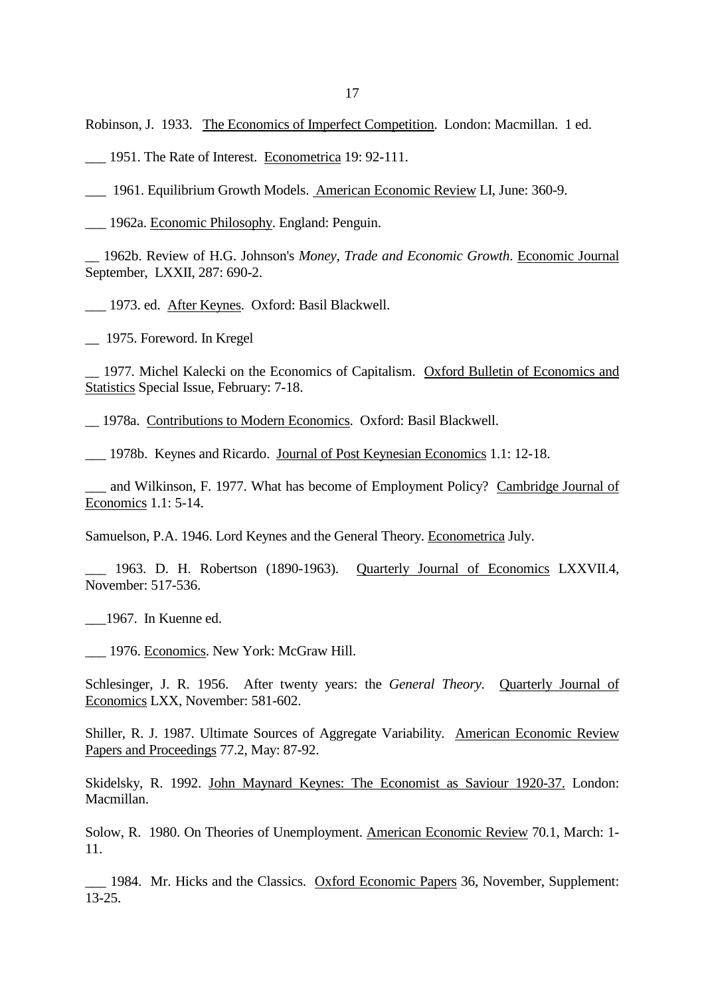Robinson, J. 1933. The Economics of Imperfect Competition. London: Macmillan. 1 ed.

\_\_\_ 1951. The Rate of Interest. Econometrica 19: 92-111.

\_\_\_ 1961. Equilibrium Growth Models. American Economic Review LI, June: 360-9.

\_\_\_ 1962a. Economic Philosophy. England: Penguin.

\_\_ 1962b. Review of H.G. Johnson's *Money, Trade and Economic Growth*. Economic Journal September, LXXII, 287: 690-2.

\_\_\_ 1973. ed. After Keynes. Oxford: Basil Blackwell.

\_\_ 1975. Foreword. In Kregel

\_\_ 1977. Michel Kalecki on the Economics of Capitalism. Oxford Bulletin of Economics and Statistics Special Issue, February: 7-18.

\_\_ 1978a. Contributions to Modern Economics. Oxford: Basil Blackwell.

\_\_\_ 1978b. Keynes and Ricardo. Journal of Post Keynesian Economics 1.1: 12-18.

and Wilkinson, F. 1977. What has become of Employment Policy? Cambridge Journal of Economics 1.1: 5-14.

Samuelson, P.A. 1946. Lord Keynes and the General Theory. Econometrica July.

\_\_\_ 1963. D. H. Robertson (1890-1963). Quarterly Journal of Economics LXXVII.4, November: 517-536.

\_\_\_1967. In Kuenne ed.

\_\_\_ 1976. Economics. New York: McGraw Hill.

Schlesinger, J. R. 1956. After twenty years: the *General Theory*. Quarterly Journal of Economics LXX, November: 581-602.

Shiller, R. J. 1987. Ultimate Sources of Aggregate Variability. American Economic Review Papers and Proceedings 77.2, May: 87-92.

Skidelsky, R. 1992. John Maynard Keynes: The Economist as Saviour 1920-37. London: Macmillan.

Solow, R. 1980. On Theories of Unemployment. American Economic Review 70.1, March: 1- 11.

1984. Mr. Hicks and the Classics. Oxford Economic Papers 36, November, Supplement: 13-25.